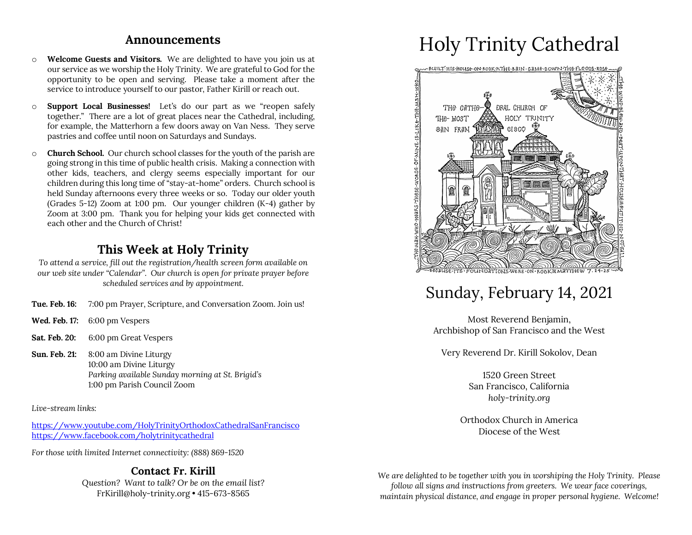#### **Announcements**

- o **Welcome Guests and Visitors.** We are delighted to have you join us at our service as we worship the Holy Trinity. We are grateful to God for the opportunity to be open and serving. Please take a moment after the service to introduce yourself to our pastor, Father Kirill or reach out.
- o **Support Local Businesses!** Let's do our part as we "reopen safely together." There are a lot of great places near the Cathedral, including, for example, the Matterhorn a few doors away on Van Ness. They serve pastries and coffee until noon on Saturdays and Sundays.
- o **Church School.** Our church school classes for the youth of the parish are going strong in this time of public health crisis. Making a connection with other kids, teachers, and clergy seems especially important for our children during this long time of "stay-at-home" orders. Church school is held Sunday afternoons every three weeks or so. Today our older youth (Grades 5-12) Zoom at 1:00 pm. Our younger children (K-4) gather by Zoom at 3:00 pm. Thank you for helping your kids get connected with each other and the Church of Christ!

### **This Week at Holy Trinity**

*To attend a service, fill out the registration/health screen form available on our web site under "Calendar". Our church is open for private prayer before scheduled services and by appointment.*

- **Tue. Feb. 16:** 7:00 pm Prayer, Scripture, and Conversation Zoom. Join us!
- **Wed. Feb. 17:** 6:00 pm Vespers
- **Sat. Feb. 20:** 6:00 pm Great Vespers
- **Sun. Feb. 21:** 8:00 am Divine Liturgy 10:00 am Divine Liturgy *Parking available Sunday morning at St. Brigid's* 1:00 pm Parish Council Zoom

*Live-stream links:*

https://www.youtube.com/HolyTrinityOrthodoxCathedralSanFrancisco https://www.facebook.com/holytrinitycathedral

*For those with limited Internet connectivity: (888) 869-1520*

#### **Contact Fr. Kirill**

*Question? Want to talk? Or be on the email list?* FrKirill@holy-trinity.org • 415-673-8565

# Holy Trinity Cathedral



## Sunday, February 14, 2021

Most Reverend Benjamin, Archbishop of San Francisco and the West

Very Reverend Dr. Kirill Sokolov, Dean

1520 Green Street San Francisco, California *holy-trinity.org*

Orthodox Church in America Diocese of the West

*We are delighted to be together with you in worshiping the Holy Trinity. Please follow all signs and instructions from greeters. We wear face coverings, maintain physical distance, and engage in proper personal hygiene. Welcome!*